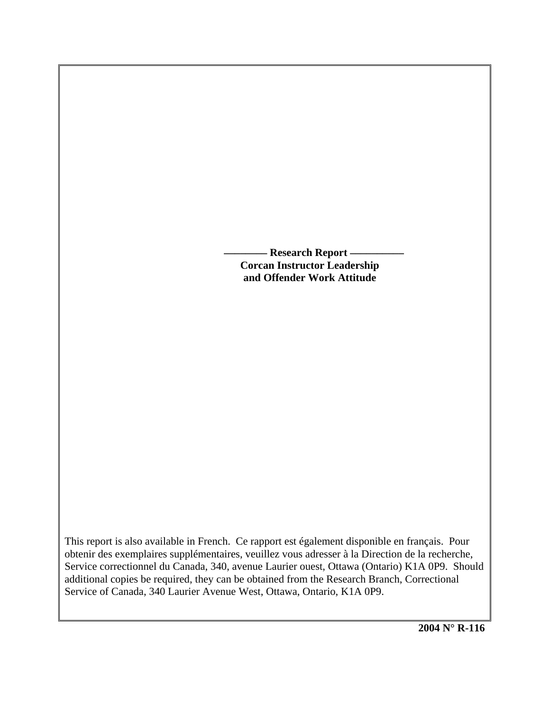**Research Report - Corcan Instructor Leadership and Offender Work Attitude** 

This report is also available in French. Ce rapport est également disponible en français. Pour obtenir des exemplaires supplémentaires, veuillez vous adresser à la Direction de la recherche, Service correctionnel du Canada, 340, avenue Laurier ouest, Ottawa (Ontario) K1A 0P9. Should additional copies be required, they can be obtained from the Research Branch, Correctional Service of Canada, 340 Laurier Avenue West, Ottawa, Ontario, K1A 0P9.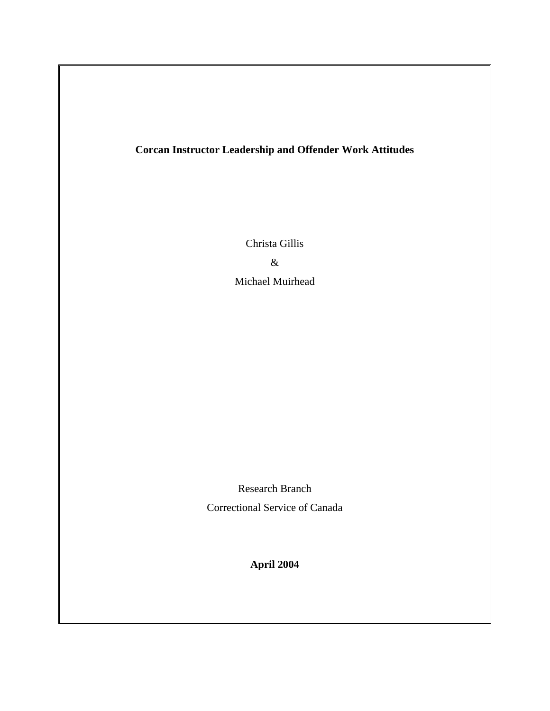# **Corcan Instructor Leadership and Offender Work Attitudes**

Christa Gillis

&

Michael Muirhead

Research Branch Correctional Service of Canada

**April 2004**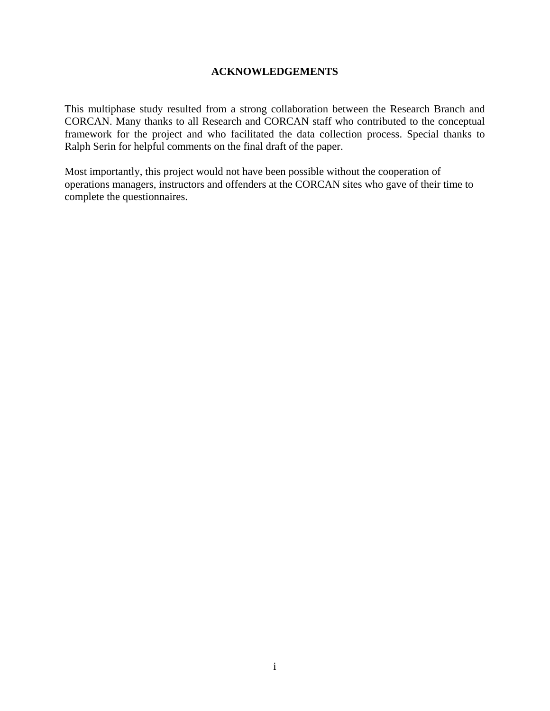# **ACKNOWLEDGEMENTS**

<span id="page-2-0"></span>This multiphase study resulted from a strong collaboration between the Research Branch and CORCAN. Many thanks to all Research and CORCAN staff who contributed to the conceptual framework for the project and who facilitated the data collection process. Special thanks to Ralph Serin for helpful comments on the final draft of the paper.

Most importantly, this project would not have been possible without the cooperation of operations managers, instructors and offenders at the CORCAN sites who gave of their time to complete the questionnaires.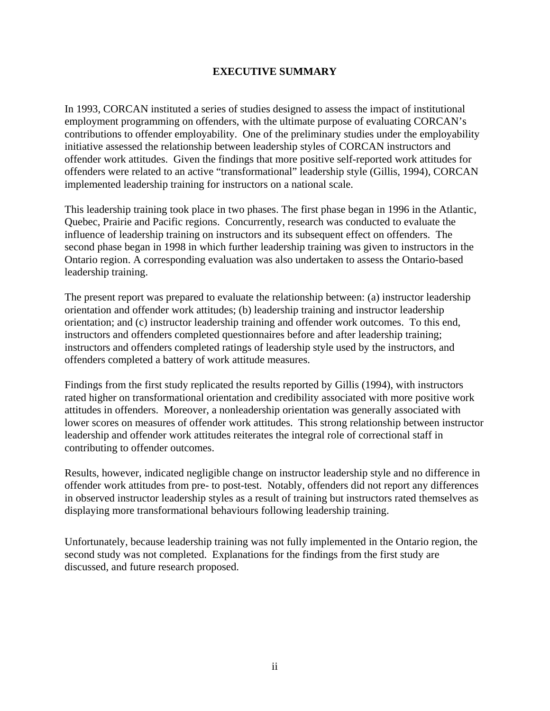# **EXECUTIVE SUMMARY**

<span id="page-3-0"></span>In 1993, CORCAN instituted a series of studies designed to assess the impact of institutional employment programming on offenders, with the ultimate purpose of evaluating CORCAN's contributions to offender employability. One of the preliminary studies under the employability initiative assessed the relationship between leadership styles of CORCAN instructors and offender work attitudes. Given the findings that more positive self-reported work attitudes for offenders were related to an active "transformational" leadership style (Gillis, 1994), CORCAN implemented leadership training for instructors on a national scale.

This leadership training took place in two phases. The first phase began in 1996 in the Atlantic, Quebec, Prairie and Pacific regions. Concurrently, research was conducted to evaluate the influence of leadership training on instructors and its subsequent effect on offenders. The second phase began in 1998 in which further leadership training was given to instructors in the Ontario region. A corresponding evaluation was also undertaken to assess the Ontario-based leadership training.

The present report was prepared to evaluate the relationship between: (a) instructor leadership orientation and offender work attitudes; (b) leadership training and instructor leadership orientation; and (c) instructor leadership training and offender work outcomes. To this end, instructors and offenders completed questionnaires before and after leadership training; instructors and offenders completed ratings of leadership style used by the instructors, and offenders completed a battery of work attitude measures.

Findings from the first study replicated the results reported by Gillis (1994), with instructors rated higher on transformational orientation and credibility associated with more positive work attitudes in offenders. Moreover, a nonleadership orientation was generally associated with lower scores on measures of offender work attitudes. This strong relationship between instructor leadership and offender work attitudes reiterates the integral role of correctional staff in contributing to offender outcomes.

Results, however, indicated negligible change on instructor leadership style and no difference in offender work attitudes from pre- to post-test. Notably, offenders did not report any differences in observed instructor leadership styles as a result of training but instructors rated themselves as displaying more transformational behaviours following leadership training.

Unfortunately, because leadership training was not fully implemented in the Ontario region, the second study was not completed. Explanations for the findings from the first study are discussed, and future research proposed.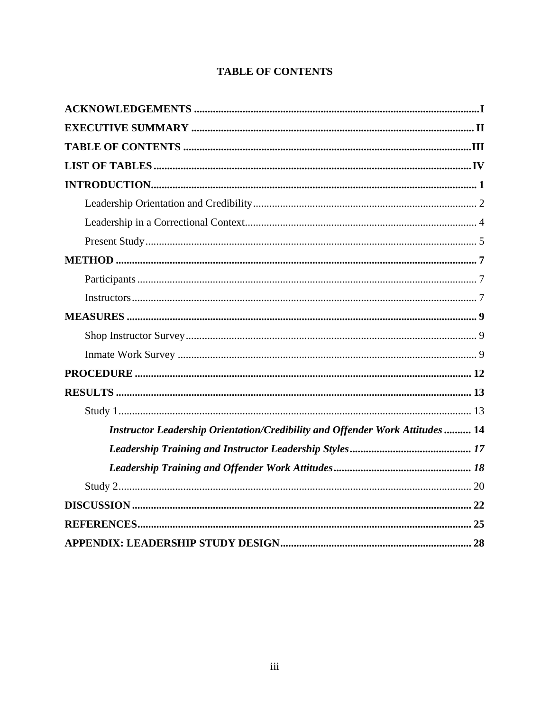<span id="page-4-0"></span>

| Instructor Leadership Orientation/Credibility and Offender Work Attitudes  14 |
|-------------------------------------------------------------------------------|
|                                                                               |
|                                                                               |
|                                                                               |
|                                                                               |
|                                                                               |
|                                                                               |

# **TABLE OF CONTENTS**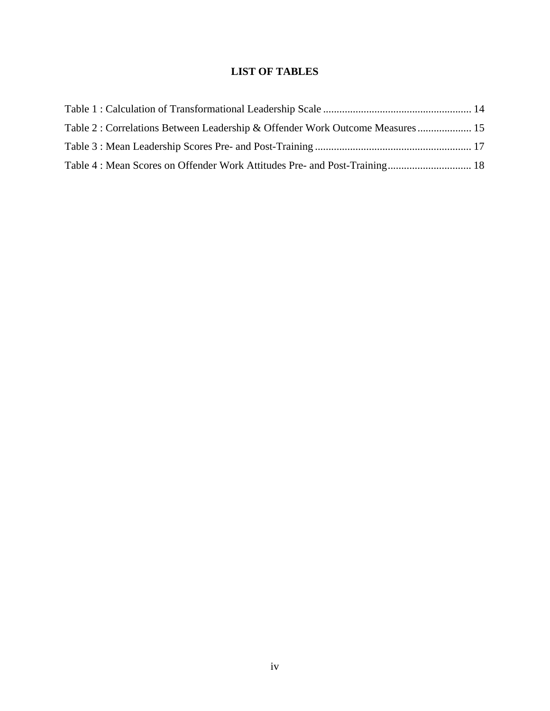# **LIST OF TABLES**

<span id="page-5-0"></span>

| Table 2: Correlations Between Leadership & Offender Work Outcome Measures  15 |  |
|-------------------------------------------------------------------------------|--|
|                                                                               |  |
|                                                                               |  |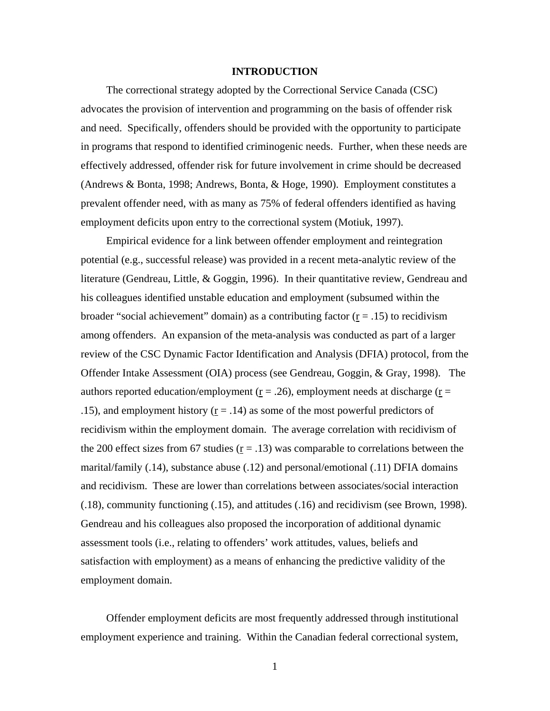# **INTRODUCTION**

<span id="page-6-0"></span>The correctional strategy adopted by the Correctional Service Canada (CSC) advocates the provision of intervention and programming on the basis of offender risk and need. Specifically, offenders should be provided with the opportunity to participate in programs that respond to identified criminogenic needs. Further, when these needs are effectively addressed, offender risk for future involvement in crime should be decreased (Andrews & Bonta, 1998; Andrews, Bonta, & Hoge, 1990). Employment constitutes a prevalent offender need, with as many as 75% of federal offenders identified as having employment deficits upon entry to the correctional system (Motiuk, 1997).

Empirical evidence for a link between offender employment and reintegration potential (e.g., successful release) was provided in a recent meta-analytic review of the literature (Gendreau, Little, & Goggin, 1996). In their quantitative review, Gendreau and his colleagues identified unstable education and employment (subsumed within the broader "social achievement" domain) as a contributing factor  $(r = .15)$  to recidivism among offenders. An expansion of the meta-analysis was conducted as part of a larger review of the CSC Dynamic Factor Identification and Analysis (DFIA) protocol, from the Offender Intake Assessment (OIA) process (see Gendreau, Goggin, & Gray, 1998). The authors reported education/employment ( $r = .26$ ), employment needs at discharge ( $r =$ .15), and employment history  $(r = .14)$  as some of the most powerful predictors of recidivism within the employment domain. The average correlation with recidivism of the 200 effect sizes from 67 studies  $(r = .13)$  was comparable to correlations between the marital/family (.14), substance abuse (.12) and personal/emotional (.11) DFIA domains and recidivism. These are lower than correlations between associates/social interaction (.18), community functioning (.15), and attitudes (.16) and recidivism (see Brown, 1998). Gendreau and his colleagues also proposed the incorporation of additional dynamic assessment tools (i.e., relating to offenders' work attitudes, values, beliefs and satisfaction with employment) as a means of enhancing the predictive validity of the employment domain.

Offender employment deficits are most frequently addressed through institutional employment experience and training. Within the Canadian federal correctional system,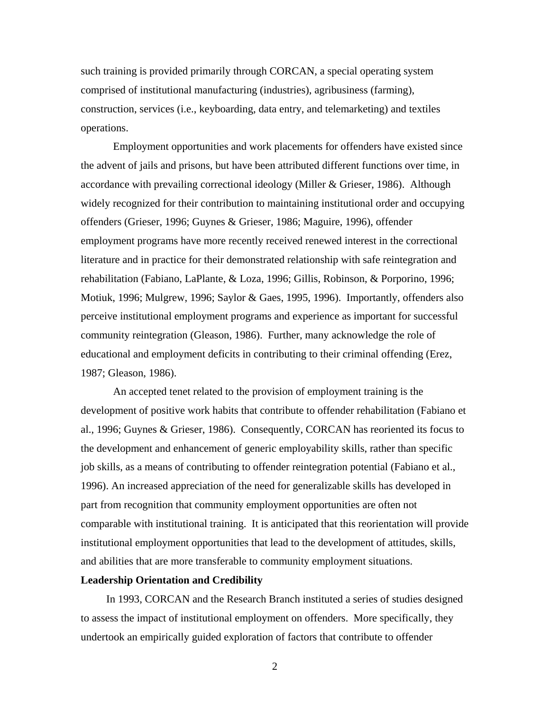<span id="page-7-0"></span>such training is provided primarily through CORCAN, a special operating system comprised of institutional manufacturing (industries), agribusiness (farming), construction, services (i.e., keyboarding, data entry, and telemarketing) and textiles operations.

Employment opportunities and work placements for offenders have existed since the advent of jails and prisons, but have been attributed different functions over time, in accordance with prevailing correctional ideology (Miller & Grieser, 1986). Although widely recognized for their contribution to maintaining institutional order and occupying offenders (Grieser, 1996; Guynes & Grieser, 1986; Maguire, 1996), offender employment programs have more recently received renewed interest in the correctional literature and in practice for their demonstrated relationship with safe reintegration and rehabilitation (Fabiano, LaPlante, & Loza, 1996; Gillis, Robinson, & Porporino, 1996; Motiuk, 1996; Mulgrew, 1996; Saylor & Gaes, 1995, 1996). Importantly, offenders also perceive institutional employment programs and experience as important for successful community reintegration (Gleason, 1986). Further, many acknowledge the role of educational and employment deficits in contributing to their criminal offending (Erez, 1987; Gleason, 1986).

An accepted tenet related to the provision of employment training is the development of positive work habits that contribute to offender rehabilitation (Fabiano et al., 1996; Guynes & Grieser, 1986). Consequently, CORCAN has reoriented its focus to the development and enhancement of generic employability skills, rather than specific job skills, as a means of contributing to offender reintegration potential (Fabiano et al., 1996). An increased appreciation of the need for generalizable skills has developed in part from recognition that community employment opportunities are often not comparable with institutional training. It is anticipated that this reorientation will provide institutional employment opportunities that lead to the development of attitudes, skills, and abilities that are more transferable to community employment situations.

#### **Leadership Orientation and Credibility**

In 1993, CORCAN and the Research Branch instituted a series of studies designed to assess the impact of institutional employment on offenders. More specifically, they undertook an empirically guided exploration of factors that contribute to offender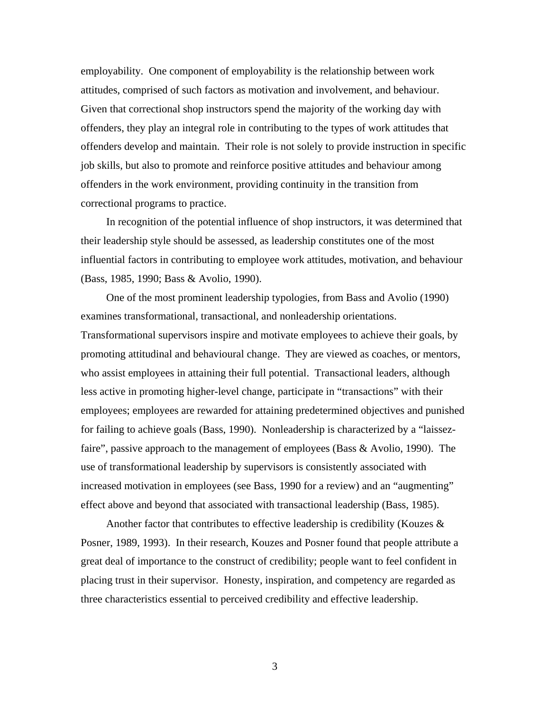employability. One component of employability is the relationship between work attitudes, comprised of such factors as motivation and involvement, and behaviour. Given that correctional shop instructors spend the majority of the working day with offenders, they play an integral role in contributing to the types of work attitudes that offenders develop and maintain. Their role is not solely to provide instruction in specific job skills, but also to promote and reinforce positive attitudes and behaviour among offenders in the work environment, providing continuity in the transition from correctional programs to practice.

In recognition of the potential influence of shop instructors, it was determined that their leadership style should be assessed, as leadership constitutes one of the most influential factors in contributing to employee work attitudes, motivation, and behaviour (Bass, 1985, 1990; Bass & Avolio, 1990).

One of the most prominent leadership typologies, from Bass and Avolio (1990) examines transformational, transactional, and nonleadership orientations. Transformational supervisors inspire and motivate employees to achieve their goals, by promoting attitudinal and behavioural change. They are viewed as coaches, or mentors, who assist employees in attaining their full potential. Transactional leaders, although less active in promoting higher-level change, participate in "transactions" with their employees; employees are rewarded for attaining predetermined objectives and punished for failing to achieve goals (Bass, 1990). Nonleadership is characterized by a "laissezfaire", passive approach to the management of employees (Bass & Avolio, 1990). The use of transformational leadership by supervisors is consistently associated with increased motivation in employees (see Bass, 1990 for a review) and an "augmenting" effect above and beyond that associated with transactional leadership (Bass, 1985).

Another factor that contributes to effective leadership is credibility (Kouzes  $\&$ Posner, 1989, 1993). In their research, Kouzes and Posner found that people attribute a great deal of importance to the construct of credibility; people want to feel confident in placing trust in their supervisor. Honesty, inspiration, and competency are regarded as three characteristics essential to perceived credibility and effective leadership.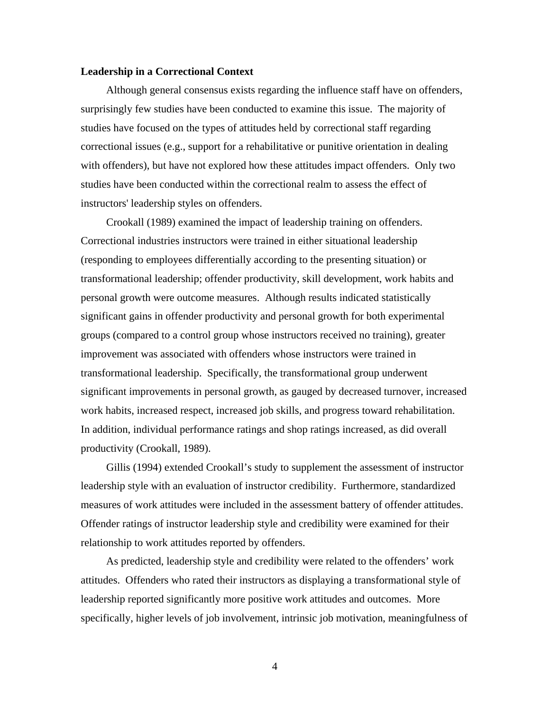#### <span id="page-9-0"></span>**Leadership in a Correctional Context**

Although general consensus exists regarding the influence staff have on offenders, surprisingly few studies have been conducted to examine this issue. The majority of studies have focused on the types of attitudes held by correctional staff regarding correctional issues (e.g., support for a rehabilitative or punitive orientation in dealing with offenders), but have not explored how these attitudes impact offenders. Only two studies have been conducted within the correctional realm to assess the effect of instructors' leadership styles on offenders.

Crookall (1989) examined the impact of leadership training on offenders. Correctional industries instructors were trained in either situational leadership (responding to employees differentially according to the presenting situation) or transformational leadership; offender productivity, skill development, work habits and personal growth were outcome measures. Although results indicated statistically significant gains in offender productivity and personal growth for both experimental groups (compared to a control group whose instructors received no training), greater improvement was associated with offenders whose instructors were trained in transformational leadership. Specifically, the transformational group underwent significant improvements in personal growth, as gauged by decreased turnover, increased work habits, increased respect, increased job skills, and progress toward rehabilitation. In addition, individual performance ratings and shop ratings increased, as did overall productivity (Crookall, 1989).

Gillis (1994) extended Crookall's study to supplement the assessment of instructor leadership style with an evaluation of instructor credibility. Furthermore, standardized measures of work attitudes were included in the assessment battery of offender attitudes. Offender ratings of instructor leadership style and credibility were examined for their relationship to work attitudes reported by offenders.

As predicted, leadership style and credibility were related to the offenders' work attitudes. Offenders who rated their instructors as displaying a transformational style of leadership reported significantly more positive work attitudes and outcomes. More specifically, higher levels of job involvement, intrinsic job motivation, meaningfulness of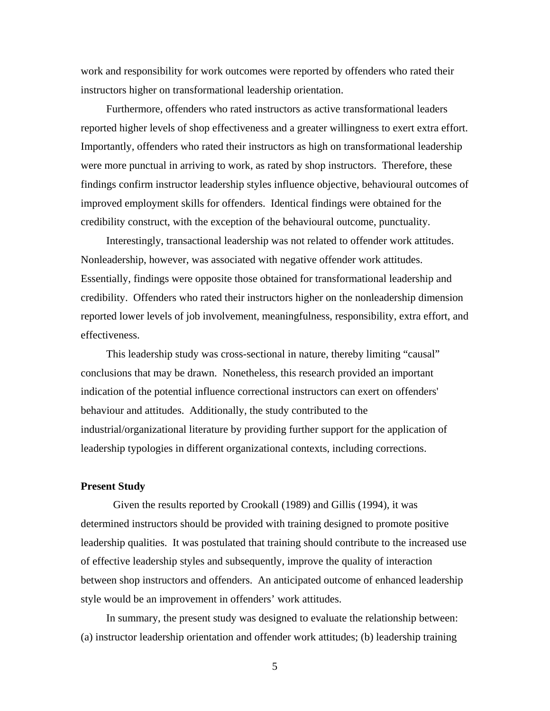<span id="page-10-0"></span>work and responsibility for work outcomes were reported by offenders who rated their instructors higher on transformational leadership orientation.

Furthermore, offenders who rated instructors as active transformational leaders reported higher levels of shop effectiveness and a greater willingness to exert extra effort. Importantly, offenders who rated their instructors as high on transformational leadership were more punctual in arriving to work, as rated by shop instructors. Therefore, these findings confirm instructor leadership styles influence objective, behavioural outcomes of improved employment skills for offenders. Identical findings were obtained for the credibility construct, with the exception of the behavioural outcome, punctuality.

Interestingly, transactional leadership was not related to offender work attitudes. Nonleadership, however, was associated with negative offender work attitudes. Essentially, findings were opposite those obtained for transformational leadership and credibility. Offenders who rated their instructors higher on the nonleadership dimension reported lower levels of job involvement, meaningfulness, responsibility, extra effort, and effectiveness.

This leadership study was cross-sectional in nature, thereby limiting "causal" conclusions that may be drawn. Nonetheless, this research provided an important indication of the potential influence correctional instructors can exert on offenders' behaviour and attitudes. Additionally, the study contributed to the industrial/organizational literature by providing further support for the application of leadership typologies in different organizational contexts, including corrections.

#### **Present Study**

Given the results reported by Crookall (1989) and Gillis (1994), it was determined instructors should be provided with training designed to promote positive leadership qualities. It was postulated that training should contribute to the increased use of effective leadership styles and subsequently, improve the quality of interaction between shop instructors and offenders. An anticipated outcome of enhanced leadership style would be an improvement in offenders' work attitudes.

In summary, the present study was designed to evaluate the relationship between: (a) instructor leadership orientation and offender work attitudes; (b) leadership training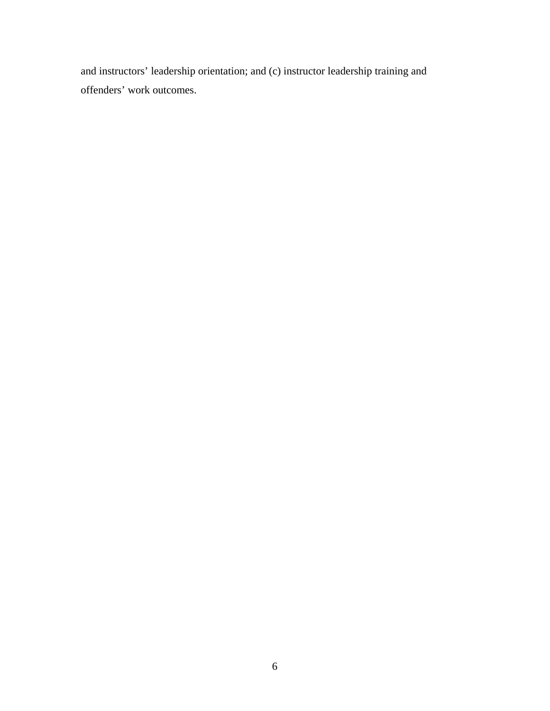and instructors' leadership orientation; and (c) instructor leadership training and offenders' work outcomes.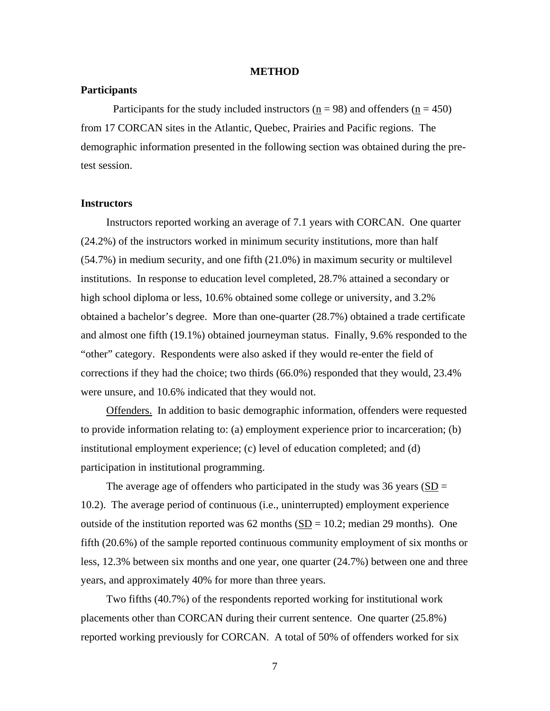# **METHOD**

## <span id="page-12-0"></span>**Participants**

Participants for the study included instructors ( $n = 98$ ) and offenders ( $n = 450$ ) from 17 CORCAN sites in the Atlantic, Quebec, Prairies and Pacific regions. The demographic information presented in the following section was obtained during the pretest session.

#### **Instructors**

Instructors reported working an average of 7.1 years with CORCAN. One quarter (24.2%) of the instructors worked in minimum security institutions, more than half (54.7%) in medium security, and one fifth (21.0%) in maximum security or multilevel institutions. In response to education level completed, 28.7% attained a secondary or high school diploma or less, 10.6% obtained some college or university, and 3.2% obtained a bachelor's degree. More than one-quarter (28.7%) obtained a trade certificate and almost one fifth (19.1%) obtained journeyman status. Finally, 9.6% responded to the "other" category. Respondents were also asked if they would re-enter the field of corrections if they had the choice; two thirds (66.0%) responded that they would, 23.4% were unsure, and 10.6% indicated that they would not.

Offenders. In addition to basic demographic information, offenders were requested to provide information relating to: (a) employment experience prior to incarceration; (b) institutional employment experience; (c) level of education completed; and (d) participation in institutional programming.

The average age of offenders who participated in the study was 36 years ( $SD =$ 10.2). The average period of continuous (i.e., uninterrupted) employment experience outside of the institution reported was  $62$  months  $(SD = 10.2$ ; median 29 months). One fifth (20.6%) of the sample reported continuous community employment of six months or less, 12.3% between six months and one year, one quarter (24.7%) between one and three years, and approximately 40% for more than three years.

Two fifths (40.7%) of the respondents reported working for institutional work placements other than CORCAN during their current sentence. One quarter (25.8%) reported working previously for CORCAN. A total of 50% of offenders worked for six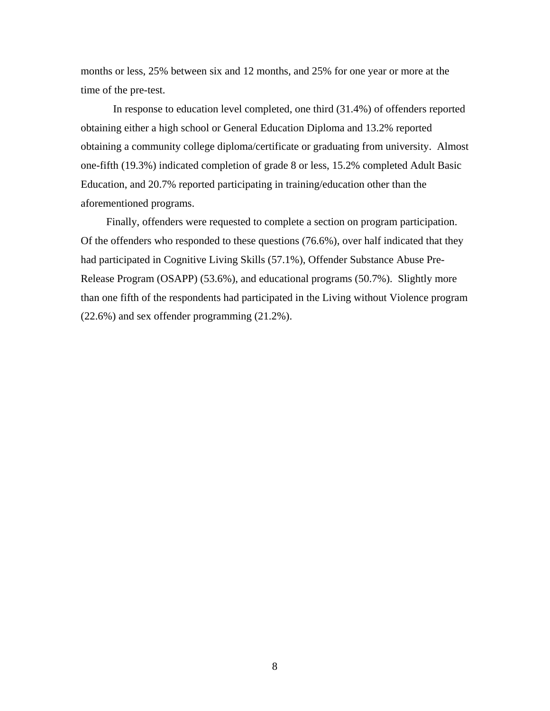months or less, 25% between six and 12 months, and 25% for one year or more at the time of the pre-test.

In response to education level completed, one third (31.4%) of offenders reported obtaining either a high school or General Education Diploma and 13.2% reported obtaining a community college diploma/certificate or graduating from university. Almost one-fifth (19.3%) indicated completion of grade 8 or less, 15.2% completed Adult Basic Education, and 20.7% reported participating in training/education other than the aforementioned programs.

Finally, offenders were requested to complete a section on program participation. Of the offenders who responded to these questions (76.6%), over half indicated that they had participated in Cognitive Living Skills (57.1%), Offender Substance Abuse Pre-Release Program (OSAPP) (53.6%), and educational programs (50.7%). Slightly more than one fifth of the respondents had participated in the Living without Violence program (22.6%) and sex offender programming (21.2%).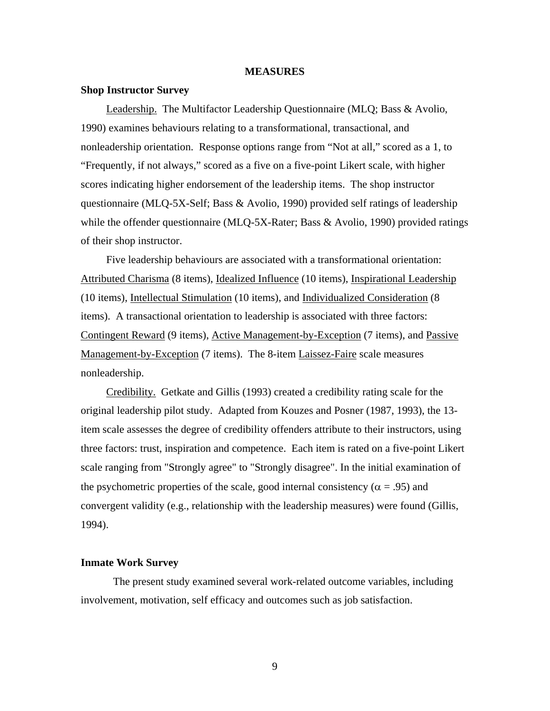#### **MEASURES**

#### <span id="page-14-0"></span>**Shop Instructor Survey**

Leadership. The Multifactor Leadership Questionnaire (MLQ; Bass & Avolio, 1990) examines behaviours relating to a transformational, transactional, and nonleadership orientation. Response options range from "Not at all," scored as a 1, to "Frequently, if not always," scored as a five on a five-point Likert scale, with higher scores indicating higher endorsement of the leadership items. The shop instructor questionnaire (MLQ-5X-Self; Bass & Avolio, 1990) provided self ratings of leadership while the offender questionnaire (MLQ-5X-Rater; Bass & Avolio, 1990) provided ratings of their shop instructor.

Five leadership behaviours are associated with a transformational orientation: Attributed Charisma (8 items), Idealized Influence (10 items), Inspirational Leadership (10 items), Intellectual Stimulation (10 items), and Individualized Consideration (8 items). A transactional orientation to leadership is associated with three factors: Contingent Reward (9 items), Active Management-by-Exception (7 items), and Passive Management-by-Exception (7 items). The 8-item Laissez-Faire scale measures nonleadership.

Credibility. Getkate and Gillis (1993) created a credibility rating scale for the original leadership pilot study. Adapted from Kouzes and Posner (1987, 1993), the 13 item scale assesses the degree of credibility offenders attribute to their instructors, using three factors: trust, inspiration and competence. Each item is rated on a five-point Likert scale ranging from "Strongly agree" to "Strongly disagree". In the initial examination of the psychometric properties of the scale, good internal consistency ( $\alpha$  = .95) and convergent validity (e.g., relationship with the leadership measures) were found (Gillis, 1994).

# **Inmate Work Survey**

The present study examined several work-related outcome variables, including involvement, motivation, self efficacy and outcomes such as job satisfaction.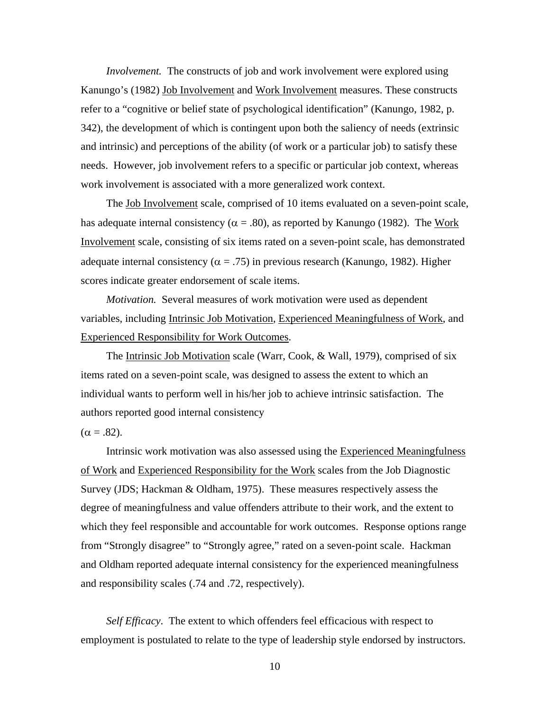*Involvement.* The constructs of job and work involvement were explored using Kanungo's (1982) Job Involvement and Work Involvement measures. These constructs refer to a "cognitive or belief state of psychological identification" (Kanungo, 1982, p. 342), the development of which is contingent upon both the saliency of needs (extrinsic and intrinsic) and perceptions of the ability (of work or a particular job) to satisfy these needs. However, job involvement refers to a specific or particular job context, whereas work involvement is associated with a more generalized work context.

The Job Involvement scale, comprised of 10 items evaluated on a seven-point scale, has adequate internal consistency ( $\alpha = .80$ ), as reported by Kanungo (1982). The Work Involvement scale, consisting of six items rated on a seven-point scale, has demonstrated adequate internal consistency ( $\alpha = .75$ ) in previous research (Kanungo, 1982). Higher scores indicate greater endorsement of scale items.

*Motivation.* Several measures of work motivation were used as dependent variables, including Intrinsic Job Motivation, Experienced Meaningfulness of Work, and Experienced Responsibility for Work Outcomes.

 The Intrinsic Job Motivation scale (Warr, Cook, & Wall, 1979), comprised of six items rated on a seven-point scale, was designed to assess the extent to which an individual wants to perform well in his/her job to achieve intrinsic satisfaction. The authors reported good internal consistency

 $(\alpha = .82)$ .

Intrinsic work motivation was also assessed using the Experienced Meaningfulness of Work and Experienced Responsibility for the Work scales from the Job Diagnostic Survey (JDS; Hackman & Oldham, 1975). These measures respectively assess the degree of meaningfulness and value offenders attribute to their work, and the extent to which they feel responsible and accountable for work outcomes. Response options range from "Strongly disagree" to "Strongly agree," rated on a seven-point scale. Hackman and Oldham reported adequate internal consistency for the experienced meaningfulness and responsibility scales (.74 and .72, respectively).

*Self Efficacy*. The extent to which offenders feel efficacious with respect to employment is postulated to relate to the type of leadership style endorsed by instructors.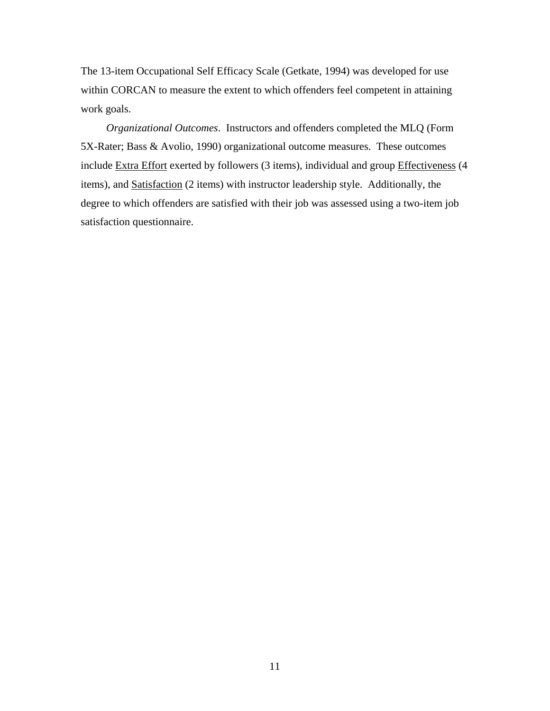The 13-item Occupational Self Efficacy Scale (Getkate, 1994) was developed for use within CORCAN to measure the extent to which offenders feel competent in attaining work goals.

 *Organizational Outcomes*. Instructors and offenders completed the MLQ (Form 5X-Rater; Bass & Avolio, 1990) organizational outcome measures. These outcomes include Extra Effort exerted by followers (3 items), individual and group Effectiveness (4 items), and Satisfaction (2 items) with instructor leadership style. Additionally, the degree to which offenders are satisfied with their job was assessed using a two-item job satisfaction questionnaire.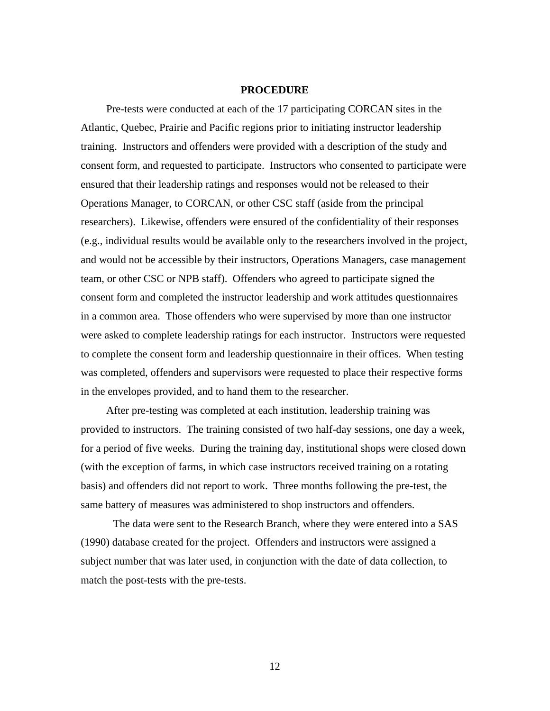#### **PROCEDURE**

<span id="page-17-0"></span>Pre-tests were conducted at each of the 17 participating CORCAN sites in the Atlantic, Quebec, Prairie and Pacific regions prior to initiating instructor leadership training. Instructors and offenders were provided with a description of the study and consent form, and requested to participate. Instructors who consented to participate were ensured that their leadership ratings and responses would not be released to their Operations Manager, to CORCAN, or other CSC staff (aside from the principal researchers). Likewise, offenders were ensured of the confidentiality of their responses (e.g., individual results would be available only to the researchers involved in the project, and would not be accessible by their instructors, Operations Managers, case management team, or other CSC or NPB staff). Offenders who agreed to participate signed the consent form and completed the instructor leadership and work attitudes questionnaires in a common area. Those offenders who were supervised by more than one instructor were asked to complete leadership ratings for each instructor. Instructors were requested to complete the consent form and leadership questionnaire in their offices. When testing was completed, offenders and supervisors were requested to place their respective forms in the envelopes provided, and to hand them to the researcher.

After pre-testing was completed at each institution, leadership training was provided to instructors. The training consisted of two half-day sessions, one day a week, for a period of five weeks. During the training day, institutional shops were closed down (with the exception of farms, in which case instructors received training on a rotating basis) and offenders did not report to work. Three months following the pre-test, the same battery of measures was administered to shop instructors and offenders.

The data were sent to the Research Branch, where they were entered into a SAS (1990) database created for the project. Offenders and instructors were assigned a subject number that was later used, in conjunction with the date of data collection, to match the post-tests with the pre-tests.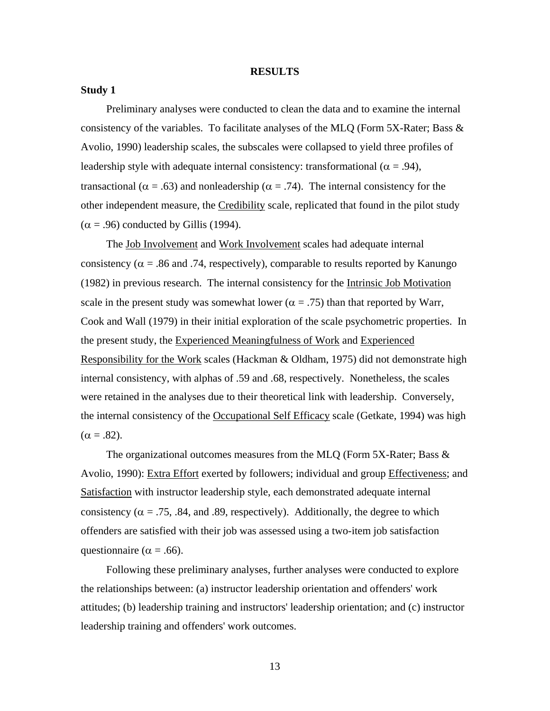#### **RESULTS**

### <span id="page-18-0"></span>**Study 1**

Preliminary analyses were conducted to clean the data and to examine the internal consistency of the variables. To facilitate analyses of the MLQ (Form 5X-Rater; Bass & Avolio, 1990) leadership scales, the subscales were collapsed to yield three profiles of leadership style with adequate internal consistency: transformational ( $\alpha = .94$ ), transactional ( $\alpha = .63$ ) and nonleadership ( $\alpha = .74$ ). The internal consistency for the other independent measure, the Credibility scale, replicated that found in the pilot study  $(\alpha = .96)$  conducted by Gillis (1994).

The <u>Job Involvement</u> and Work Involvement scales had adequate internal consistency ( $\alpha$  = .86 and .74, respectively), comparable to results reported by Kanungo (1982) in previous research. The internal consistency for the Intrinsic Job Motivation scale in the present study was somewhat lower ( $\alpha = .75$ ) than that reported by Warr, Cook and Wall (1979) in their initial exploration of the scale psychometric properties. In the present study, the Experienced Meaningfulness of Work and Experienced Responsibility for the Work scales (Hackman & Oldham, 1975) did not demonstrate high internal consistency, with alphas of .59 and .68, respectively. Nonetheless, the scales were retained in the analyses due to their theoretical link with leadership. Conversely, the internal consistency of the Occupational Self Efficacy scale (Getkate, 1994) was high  $(\alpha = .82)$ .

The organizational outcomes measures from the MLQ (Form 5X-Rater; Bass & Avolio, 1990): Extra Effort exerted by followers; individual and group Effectiveness; and Satisfaction with instructor leadership style, each demonstrated adequate internal consistency ( $\alpha = .75, .84,$  and .89, respectively). Additionally, the degree to which offenders are satisfied with their job was assessed using a two-item job satisfaction questionnaire ( $\alpha$  = .66).

Following these preliminary analyses, further analyses were conducted to explore the relationships between: (a) instructor leadership orientation and offenders' work attitudes; (b) leadership training and instructors' leadership orientation; and (c) instructor leadership training and offenders' work outcomes.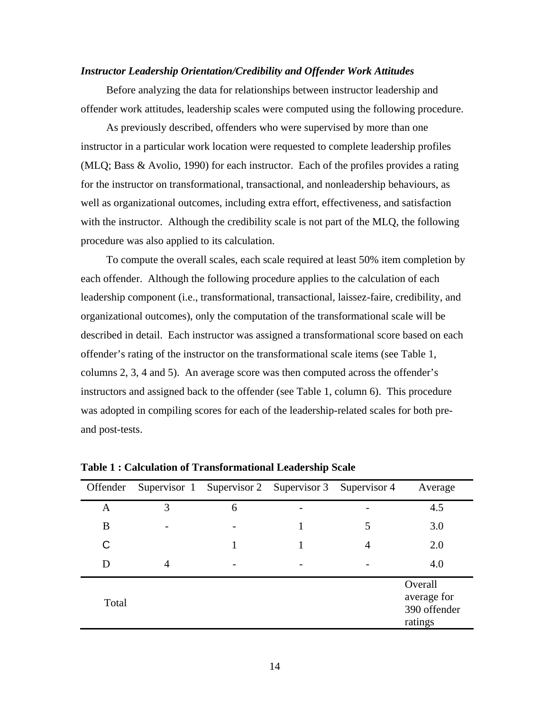# <span id="page-19-0"></span>*Instructor Leadership Orientation/Credibility and Offender Work Attitudes*

Before analyzing the data for relationships between instructor leadership and offender work attitudes, leadership scales were computed using the following procedure.

As previously described, offenders who were supervised by more than one instructor in a particular work location were requested to complete leadership profiles (MLQ; Bass & Avolio, 1990) for each instructor. Each of the profiles provides a rating for the instructor on transformational, transactional, and nonleadership behaviours, as well as organizational outcomes, including extra effort, effectiveness, and satisfaction with the instructor. Although the credibility scale is not part of the MLQ, the following procedure was also applied to its calculation.

To compute the overall scales, each scale required at least 50% item completion by each offender. Although the following procedure applies to the calculation of each leadership component (i.e., transformational, transactional, laissez-faire, credibility, and organizational outcomes), only the computation of the transformational scale will be described in detail. Each instructor was assigned a transformational score based on each offender's rating of the instructor on the transformational scale items (see Table 1, columns 2, 3, 4 and 5). An average score was then computed across the offender's instructors and assigned back to the offender (see Table 1, column 6). This procedure was adopted in compiling scores for each of the leadership-related scales for both preand post-tests.

| Offender |   | Supervisor 1 Supervisor 2 Supervisor 3 Supervisor 4 |   | Average                                           |
|----------|---|-----------------------------------------------------|---|---------------------------------------------------|
| Α        | 3 | 6                                                   |   | 4.5                                               |
| B        |   |                                                     | 5 | 3.0                                               |
| C        |   |                                                     | 4 | 2.0                                               |
| D        | 4 |                                                     |   | 4.0                                               |
| Total    |   |                                                     |   | Overall<br>average for<br>390 offender<br>ratings |

**Table 1 : Calculation of Transformational Leadership Scale**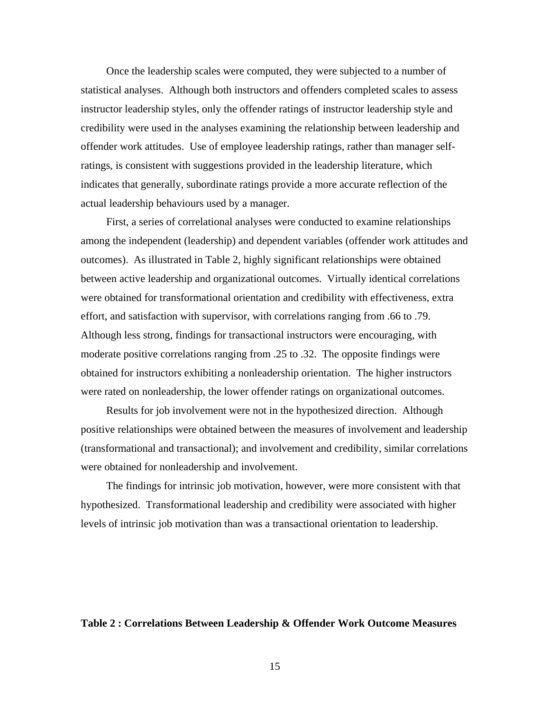<span id="page-20-0"></span>Once the leadership scales were computed, they were subjected to a number of statistical analyses. Although both instructors and offenders completed scales to assess instructor leadership styles, only the offender ratings of instructor leadership style and credibility were used in the analyses examining the relationship between leadership and offender work attitudes. Use of employee leadership ratings, rather than manager selfratings, is consistent with suggestions provided in the leadership literature, which indicates that generally, subordinate ratings provide a more accurate reflection of the actual leadership behaviours used by a manager.

First, a series of correlational analyses were conducted to examine relationships among the independent (leadership) and dependent variables (offender work attitudes and outcomes). As illustrated in Table 2, highly significant relationships were obtained between active leadership and organizational outcomes. Virtually identical correlations were obtained for transformational orientation and credibility with effectiveness, extra effort, and satisfaction with supervisor, with correlations ranging from .66 to .79. Although less strong, findings for transactional instructors were encouraging, with moderate positive correlations ranging from .25 to .32. The opposite findings were obtained for instructors exhibiting a nonleadership orientation. The higher instructors were rated on nonleadership, the lower offender ratings on organizational outcomes.

Results for job involvement were not in the hypothesized direction. Although positive relationships were obtained between the measures of involvement and leadership (transformational and transactional); and involvement and credibility, similar correlations were obtained for nonleadership and involvement.

The findings for intrinsic job motivation, however, were more consistent with that hypothesized. Transformational leadership and credibility were associated with higher levels of intrinsic job motivation than was a transactional orientation to leadership.

# **Table 2 : Correlations Between Leadership & Offender Work Outcome Measures**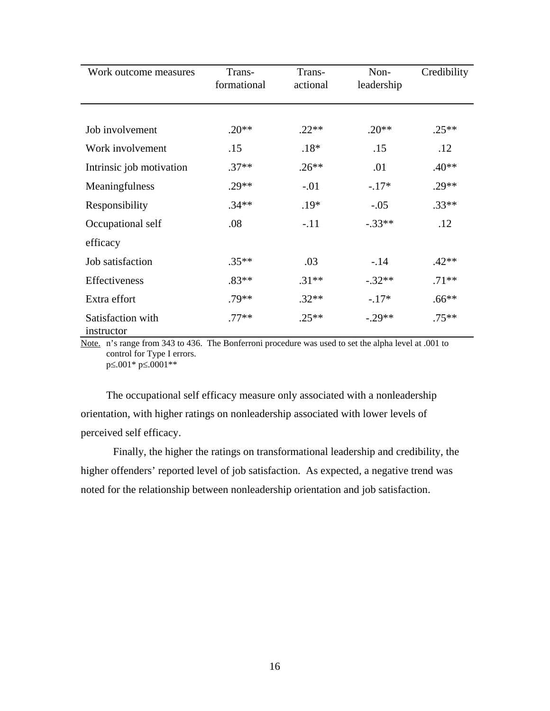| Work outcome measures           | Trans-<br>formational | Trans-<br>actional | Non-<br>leadership | Credibility |
|---------------------------------|-----------------------|--------------------|--------------------|-------------|
|                                 |                       |                    |                    |             |
| Job involvement                 | $.20**$               | $.22**$            | $.20**$            | $.25**$     |
| Work involvement                | .15                   | $.18*$             | .15                | .12         |
| Intrinsic job motivation        | $.37**$               | $.26**$            | .01                | $.40**$     |
| Meaningfulness                  | $.29**$               | $-.01$             | $-.17*$            | $.29**$     |
| Responsibility                  | $.34**$               | $.19*$             | $-.05$             | $.33**$     |
| Occupational self               | .08                   | $-.11$             | $-.33**$           | .12         |
| efficacy                        |                       |                    |                    |             |
| Job satisfaction                | $.35**$               | .03                | $-.14$             | $.42**$     |
| Effectiveness                   | $.83**$               | $.31**$            | $-.32**$           | $.71**$     |
| Extra effort                    | $.79**$               | $.32**$            | $-.17*$            | $.66**$     |
| Satisfaction with<br>instructor | $.77**$               | $.25**$            | $-.29**$           | $.75***$    |

Note. n's range from 343 to 436. The Bonferroni procedure was used to set the alpha level at .001 to control for Type I errors. p≤.001\* p≤.0001\*\*

The occupational self efficacy measure only associated with a nonleadership orientation, with higher ratings on nonleadership associated with lower levels of perceived self efficacy.

Finally, the higher the ratings on transformational leadership and credibility, the higher offenders' reported level of job satisfaction. As expected, a negative trend was noted for the relationship between nonleadership orientation and job satisfaction.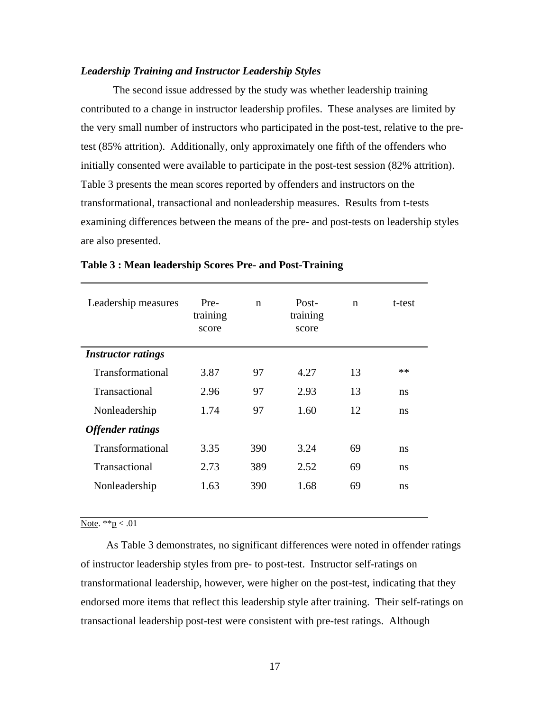# <span id="page-22-0"></span>*Leadership Training and Instructor Leadership Styles*

The second issue addressed by the study was whether leadership training contributed to a change in instructor leadership profiles. These analyses are limited by the very small number of instructors who participated in the post-test, relative to the pretest (85% attrition). Additionally, only approximately one fifth of the offenders who initially consented were available to participate in the post-test session (82% attrition). Table 3 presents the mean scores reported by offenders and instructors on the transformational, transactional and nonleadership measures. Results from t-tests examining differences between the means of the pre- and post-tests on leadership styles are also presented.

| Leadership measures       | Pre-<br>training<br>score | $\mathbf n$ | Post-<br>training<br>score | $\mathbf n$ | t-test |
|---------------------------|---------------------------|-------------|----------------------------|-------------|--------|
| <b>Instructor ratings</b> |                           |             |                            |             |        |
| Transformational          | 3.87                      | 97          | 4.27                       | 13          | $**$   |
| Transactional             | 2.96                      | 97          | 2.93                       | 13          | ns     |
| Nonleadership             | 1.74                      | 97          | 1.60                       | 12          | ns     |
| <b>Offender ratings</b>   |                           |             |                            |             |        |
| Transformational          | 3.35                      | 390         | 3.24                       | 69          | ns     |
| Transactional             | 2.73                      | 389         | 2.52                       | 69          | ns     |
| Nonleadership             | 1.63                      | 390         | 1.68                       | 69          | ns     |

#### **Table 3 : Mean leadership Scores Pre- and Post-Training**

# Note.  $*_{p} < .01$

As Table 3 demonstrates, no significant differences were noted in offender ratings of instructor leadership styles from pre- to post-test. Instructor self-ratings on transformational leadership, however, were higher on the post-test, indicating that they endorsed more items that reflect this leadership style after training. Their self-ratings on transactional leadership post-test were consistent with pre-test ratings. Although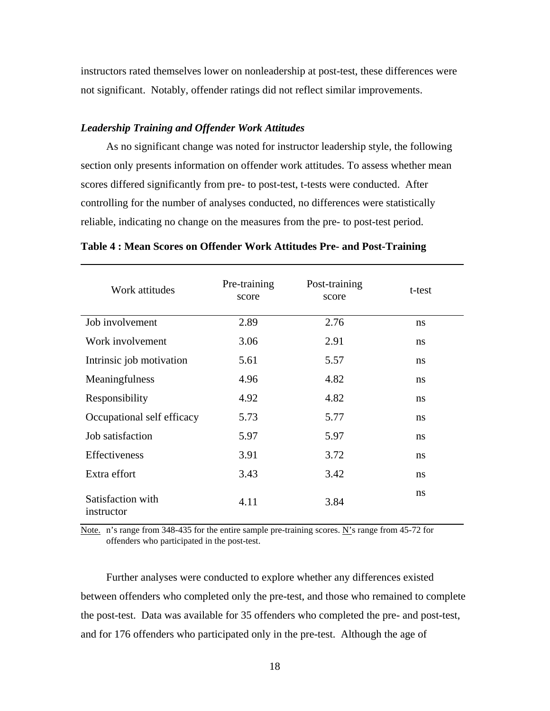<span id="page-23-0"></span>instructors rated themselves lower on nonleadership at post-test, these differences were not significant. Notably, offender ratings did not reflect similar improvements.

# *Leadership Training and Offender Work Attitudes*

As no significant change was noted for instructor leadership style, the following section only presents information on offender work attitudes. To assess whether mean scores differed significantly from pre- to post-test, t-tests were conducted. After controlling for the number of analyses conducted, no differences were statistically reliable, indicating no change on the measures from the pre- to post-test period.

| Work attitudes                  | Pre-training<br>score | Post-training<br>score | t-test |
|---------------------------------|-----------------------|------------------------|--------|
| Job involvement                 | 2.89                  | 2.76                   | ns     |
| Work involvement                | 3.06                  | 2.91                   | ns     |
| Intrinsic job motivation        | 5.61                  | 5.57                   | ns     |
| Meaningfulness                  | 4.96                  | 4.82                   | ns     |
| Responsibility                  | 4.92                  | 4.82                   | ns     |
| Occupational self efficacy      | 5.73                  | 5.77                   | ns     |
| Job satisfaction                | 5.97                  | 5.97                   | ns     |
| Effectiveness                   | 3.91                  | 3.72                   | ns     |
| Extra effort                    | 3.43                  | 3.42                   | ns     |
| Satisfaction with<br>instructor | 4.11                  | 3.84                   | ns     |

**Table 4 : Mean Scores on Offender Work Attitudes Pre- and Post-Training** 

Note. n's range from 348-435 for the entire sample pre-training scores. N's range from 45-72 for offenders who participated in the post-test.

Further analyses were conducted to explore whether any differences existed between offenders who completed only the pre-test, and those who remained to complete the post-test. Data was available for 35 offenders who completed the pre- and post-test, and for 176 offenders who participated only in the pre-test. Although the age of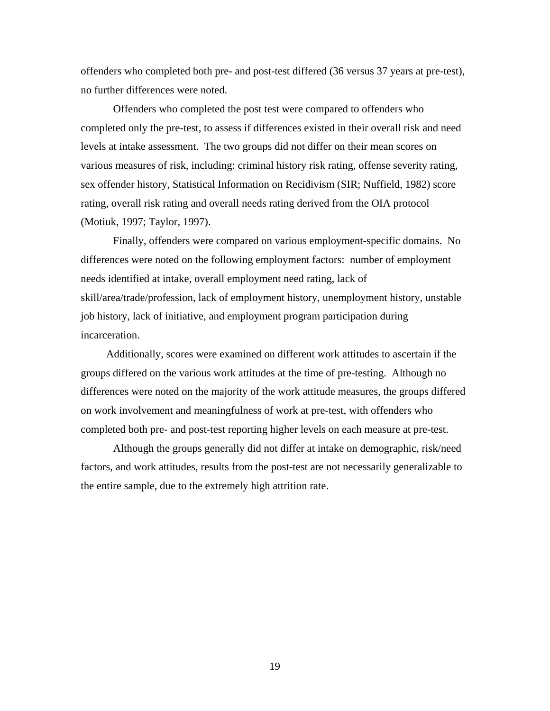offenders who completed both pre- and post-test differed (36 versus 37 years at pre-test), no further differences were noted.

Offenders who completed the post test were compared to offenders who completed only the pre-test, to assess if differences existed in their overall risk and need levels at intake assessment. The two groups did not differ on their mean scores on various measures of risk, including: criminal history risk rating, offense severity rating, sex offender history, Statistical Information on Recidivism (SIR; Nuffield, 1982) score rating, overall risk rating and overall needs rating derived from the OIA protocol (Motiuk, 1997; Taylor, 1997).

Finally, offenders were compared on various employment-specific domains. No differences were noted on the following employment factors: number of employment needs identified at intake, overall employment need rating, lack of skill/area/trade/profession, lack of employment history, unemployment history, unstable job history, lack of initiative, and employment program participation during incarceration.

Additionally, scores were examined on different work attitudes to ascertain if the groups differed on the various work attitudes at the time of pre-testing. Although no differences were noted on the majority of the work attitude measures, the groups differed on work involvement and meaningfulness of work at pre-test, with offenders who completed both pre- and post-test reporting higher levels on each measure at pre-test.

Although the groups generally did not differ at intake on demographic, risk/need factors, and work attitudes, results from the post-test are not necessarily generalizable to the entire sample, due to the extremely high attrition rate.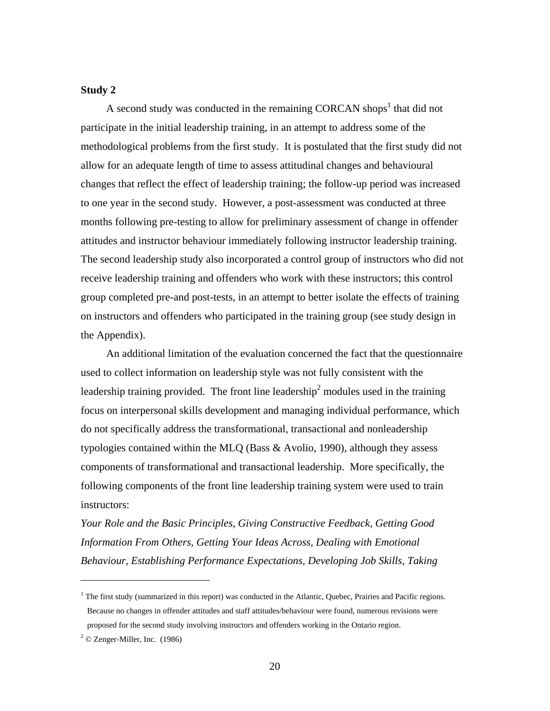# **Study 2**

A second study was conducted in the remaining CORCAN shops<sup>[1](#page-25-0)</sup> that did not participate in the initial leadership training, in an attempt to address some of the methodological problems from the first study. It is postulated that the first study did not allow for an adequate length of time to assess attitudinal changes and behavioural changes that reflect the effect of leadership training; the follow-up period was increased to one year in the second study. However, a post-assessment was conducted at three months following pre-testing to allow for preliminary assessment of change in offender attitudes and instructor behaviour immediately following instructor leadership training. The second leadership study also incorporated a control group of instructors who did not receive leadership training and offenders who work with these instructors; this control group completed pre-and post-tests, in an attempt to better isolate the effects of training on instructors and offenders who participated in the training group (see study design in the Appendix).

An additional limitation of the evaluation concerned the fact that the questionnaire used to collect information on leadership style was not fully consistent with the leadership training provided. The front line leadership<sup>2</sup> modules used in the training focus on interpersonal skills development and managing individual performance, which do not specifically address the transformational, transactional and nonleadership typologies contained within the MLQ (Bass & Avolio, 1990), although they assess components of transformational and transactional leadership. More specifically, the following components of the front line leadership training system were used to train instructors:

*Your Role and the Basic Principles, Giving Constructive Feedback, Getting Good Information From Others, Getting Your Ideas Across, Dealing with Emotional Behaviour, Establishing Performance Expectations, Developing Job Skills, Taking* 

 $\overline{a}$ 

<span id="page-25-0"></span><sup>&</sup>lt;sup>1</sup> The first study (summarized in this report) was conducted in the Atlantic, Quebec, Prairies and Pacific regions. Because no changes in offender attitudes and staff attitudes/behaviour were found, numerous revisions were proposed for the second study involving instructors and offenders working in the Ontario region.

<span id="page-25-1"></span> $2^2$  © Zenger-Miller, Inc. (1986)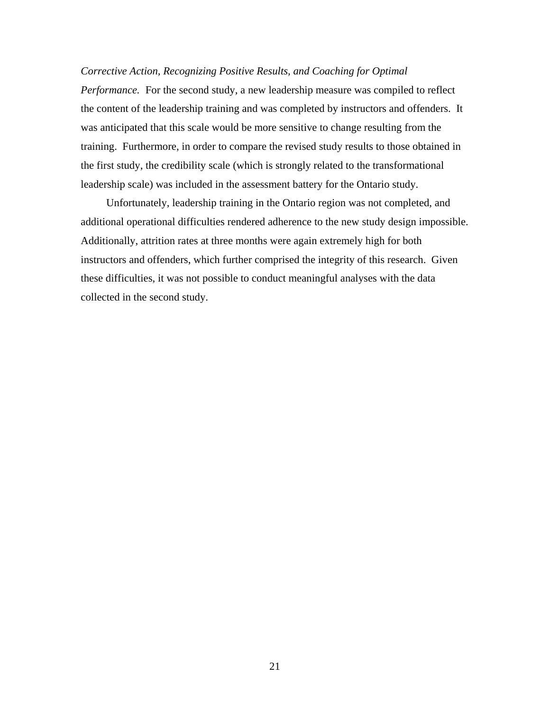# *Corrective Action, Recognizing Positive Results, and Coaching for Optimal*

*Performance.* For the second study, a new leadership measure was compiled to reflect the content of the leadership training and was completed by instructors and offenders. It was anticipated that this scale would be more sensitive to change resulting from the training. Furthermore, in order to compare the revised study results to those obtained in the first study, the credibility scale (which is strongly related to the transformational leadership scale) was included in the assessment battery for the Ontario study.

Unfortunately, leadership training in the Ontario region was not completed, and additional operational difficulties rendered adherence to the new study design impossible. Additionally, attrition rates at three months were again extremely high for both instructors and offenders, which further comprised the integrity of this research. Given these difficulties, it was not possible to conduct meaningful analyses with the data collected in the second study.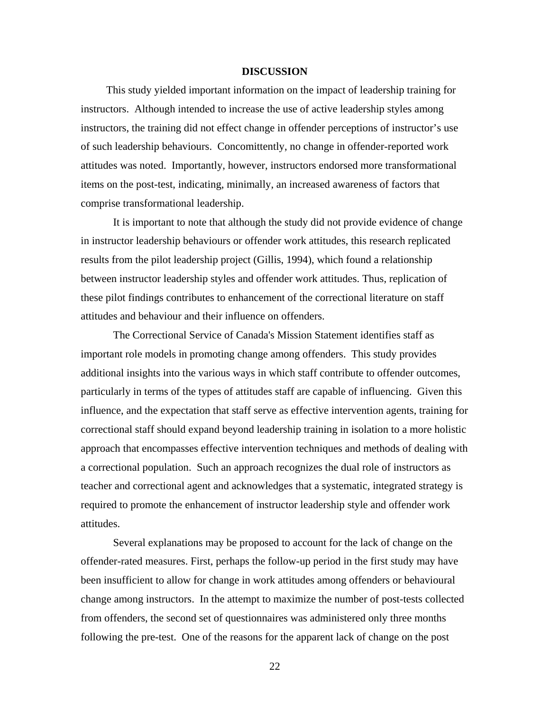### **DISCUSSION**

<span id="page-27-0"></span>This study yielded important information on the impact of leadership training for instructors. Although intended to increase the use of active leadership styles among instructors, the training did not effect change in offender perceptions of instructor's use of such leadership behaviours. Concomittently, no change in offender-reported work attitudes was noted. Importantly, however, instructors endorsed more transformational items on the post-test, indicating, minimally, an increased awareness of factors that comprise transformational leadership.

It is important to note that although the study did not provide evidence of change in instructor leadership behaviours or offender work attitudes, this research replicated results from the pilot leadership project (Gillis, 1994), which found a relationship between instructor leadership styles and offender work attitudes. Thus, replication of these pilot findings contributes to enhancement of the correctional literature on staff attitudes and behaviour and their influence on offenders.

The Correctional Service of Canada's Mission Statement identifies staff as important role models in promoting change among offenders. This study provides additional insights into the various ways in which staff contribute to offender outcomes, particularly in terms of the types of attitudes staff are capable of influencing. Given this influence, and the expectation that staff serve as effective intervention agents, training for correctional staff should expand beyond leadership training in isolation to a more holistic approach that encompasses effective intervention techniques and methods of dealing with a correctional population. Such an approach recognizes the dual role of instructors as teacher and correctional agent and acknowledges that a systematic, integrated strategy is required to promote the enhancement of instructor leadership style and offender work attitudes.

Several explanations may be proposed to account for the lack of change on the offender-rated measures. First, perhaps the follow-up period in the first study may have been insufficient to allow for change in work attitudes among offenders or behavioural change among instructors. In the attempt to maximize the number of post-tests collected from offenders, the second set of questionnaires was administered only three months following the pre-test. One of the reasons for the apparent lack of change on the post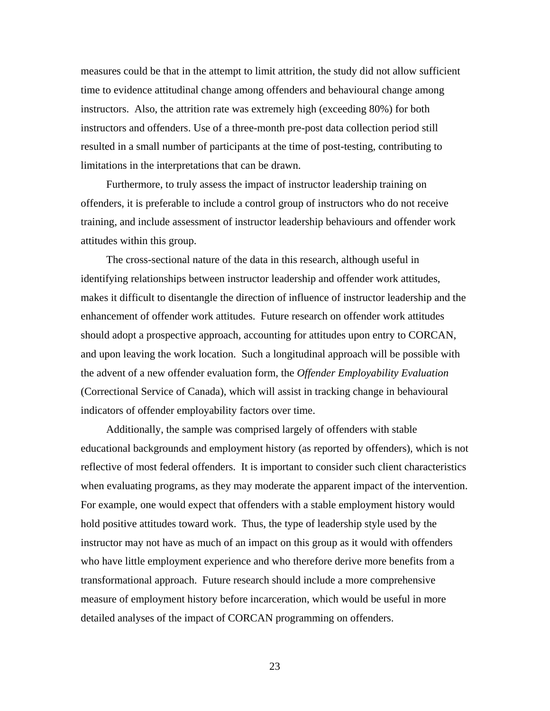measures could be that in the attempt to limit attrition, the study did not allow sufficient time to evidence attitudinal change among offenders and behavioural change among instructors. Also, the attrition rate was extremely high (exceeding 80%) for both instructors and offenders. Use of a three-month pre-post data collection period still resulted in a small number of participants at the time of post-testing, contributing to limitations in the interpretations that can be drawn.

Furthermore, to truly assess the impact of instructor leadership training on offenders, it is preferable to include a control group of instructors who do not receive training, and include assessment of instructor leadership behaviours and offender work attitudes within this group.

The cross-sectional nature of the data in this research, although useful in identifying relationships between instructor leadership and offender work attitudes, makes it difficult to disentangle the direction of influence of instructor leadership and the enhancement of offender work attitudes. Future research on offender work attitudes should adopt a prospective approach, accounting for attitudes upon entry to CORCAN, and upon leaving the work location. Such a longitudinal approach will be possible with the advent of a new offender evaluation form, the *Offender Employability Evaluation*  (Correctional Service of Canada), which will assist in tracking change in behavioural indicators of offender employability factors over time.

Additionally, the sample was comprised largely of offenders with stable educational backgrounds and employment history (as reported by offenders), which is not reflective of most federal offenders. It is important to consider such client characteristics when evaluating programs, as they may moderate the apparent impact of the intervention. For example, one would expect that offenders with a stable employment history would hold positive attitudes toward work. Thus, the type of leadership style used by the instructor may not have as much of an impact on this group as it would with offenders who have little employment experience and who therefore derive more benefits from a transformational approach. Future research should include a more comprehensive measure of employment history before incarceration, which would be useful in more detailed analyses of the impact of CORCAN programming on offenders.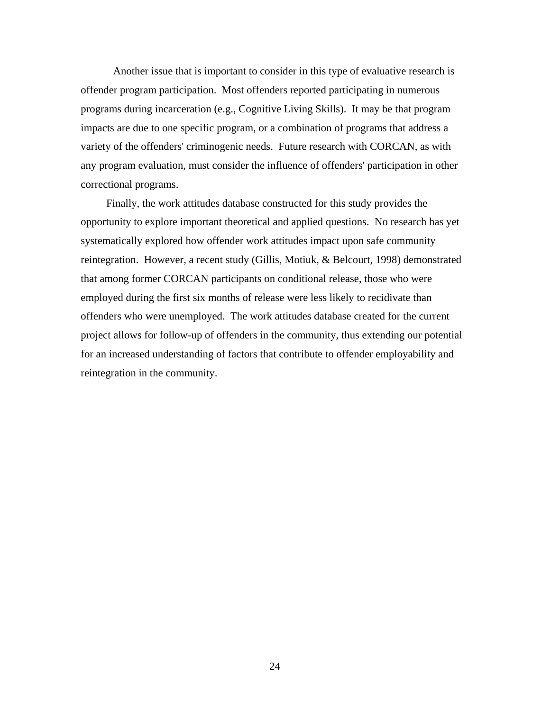Another issue that is important to consider in this type of evaluative research is offender program participation. Most offenders reported participating in numerous programs during incarceration (e.g., Cognitive Living Skills). It may be that program impacts are due to one specific program, or a combination of programs that address a variety of the offenders' criminogenic needs. Future research with CORCAN, as with any program evaluation, must consider the influence of offenders' participation in other correctional programs.

Finally, the work attitudes database constructed for this study provides the opportunity to explore important theoretical and applied questions. No research has yet systematically explored how offender work attitudes impact upon safe community reintegration. However, a recent study (Gillis, Motiuk, & Belcourt, 1998) demonstrated that among former CORCAN participants on conditional release, those who were employed during the first six months of release were less likely to recidivate than offenders who were unemployed. The work attitudes database created for the current project allows for follow-up of offenders in the community, thus extending our potential for an increased understanding of factors that contribute to offender employability and reintegration in the community.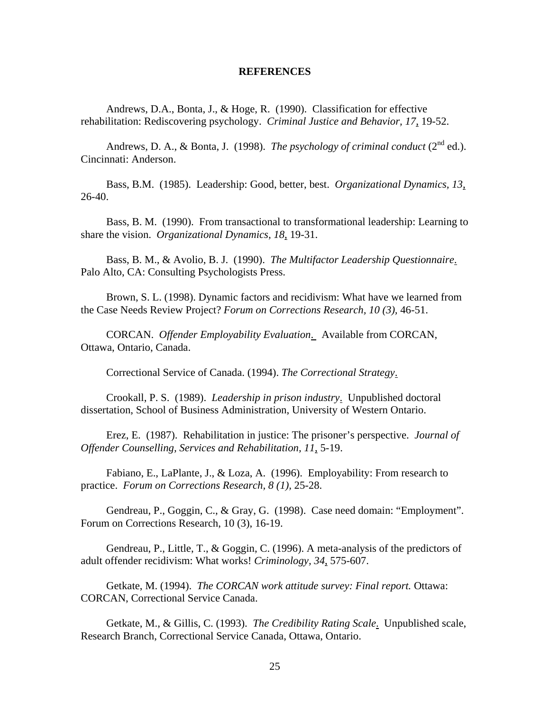#### **REFERENCES**

<span id="page-30-0"></span>Andrews, D.A., Bonta, J., & Hoge, R. (1990). Classification for effective rehabilitation: Rediscovering psychology. *Criminal Justice and Behavior, 17*, 19-52.

Andrews, D. A., & Bonta, J. (1998). *The psychology of criminal conduct* ( $2<sup>nd</sup>$  ed.). Cincinnati: Anderson.

Bass, B.M. (1985). Leadership: Good, better, best. *Organizational Dynamics, 13*, 26-40.

Bass, B. M. (1990). From transactional to transformational leadership: Learning to share the vision. *Organizational Dynamics, 18*, 19-31.

Bass, B. M., & Avolio, B. J. (1990). *The Multifactor Leadership Questionnaire*. Palo Alto, CA: Consulting Psychologists Press.

Brown, S. L. (1998). Dynamic factors and recidivism: What have we learned from the Case Needs Review Project? *Forum on Corrections Research, 10 (3),* 46-51.

 CORCAN. *Offender Employability Evaluation*. Available from CORCAN, Ottawa, Ontario, Canada.

Correctional Service of Canada. (1994). *The Correctional Strategy*.

Crookall, P. S. (1989). *Leadership in prison industry*. Unpublished doctoral dissertation, School of Business Administration, University of Western Ontario.

Erez, E. (1987). Rehabilitation in justice: The prisoner's perspective. *Journal of Offender Counselling, Services and Rehabilitation, 11*, 5-19.

Fabiano, E., LaPlante, J., & Loza, A. (1996). Employability: From research to practice. *Forum on Corrections Research, 8 (1),* 25-28.

Gendreau, P., Goggin, C., & Gray, G. (1998). Case need domain: "Employment". Forum on Corrections Research, 10 (3), 16-19.

Gendreau, P., Little, T., & Goggin, C. (1996). A meta-analysis of the predictors of adult offender recidivism: What works! *Criminology, 34*, 575-607.

Getkate, M. (1994). *The CORCAN work attitude survey: Final report.* Ottawa: CORCAN, Correctional Service Canada.

Getkate, M., & Gillis, C. (1993). *The Credibility Rating Scale*. Unpublished scale, Research Branch, Correctional Service Canada, Ottawa, Ontario.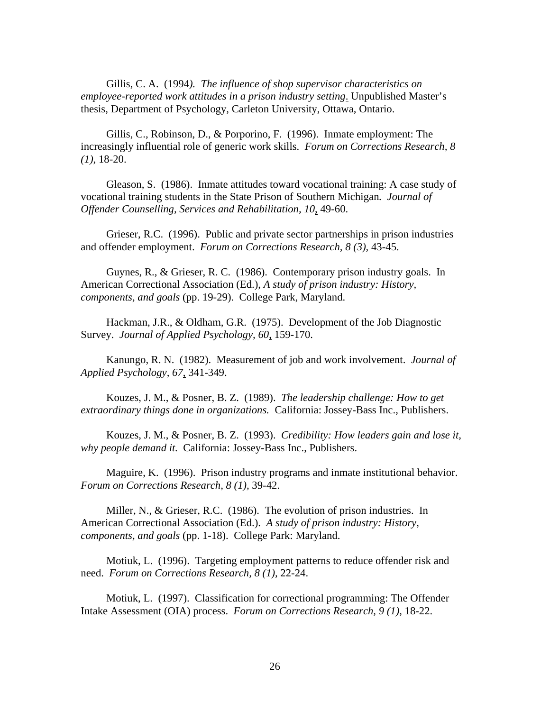Gillis, C. A. (1994*). The influence of shop supervisor characteristics on employee-reported work attitudes in a prison industry setting*. Unpublished Master's thesis, Department of Psychology, Carleton University, Ottawa, Ontario.

Gillis, C., Robinson, D., & Porporino, F. (1996). Inmate employment: The increasingly influential role of generic work skills. *Forum on Corrections Research, 8 (1)*, 18-20.

Gleason, S. (1986). Inmate attitudes toward vocational training: A case study of vocational training students in the State Prison of Southern Michigan*. Journal of Offender Counselling, Services and Rehabilitation, 10*, 49-60.

Grieser, R.C. (1996). Public and private sector partnerships in prison industries and offender employment. *Forum on Corrections Research, 8 (3),* 43-45.

Guynes, R., & Grieser, R. C. (1986). Contemporary prison industry goals. In American Correctional Association (Ed.), *A study of prison industry: History, components, and goals* (pp. 19-29). College Park, Maryland.

Hackman, J.R., & Oldham, G.R. (1975). Development of the Job Diagnostic Survey. *Journal of Applied Psychology, 60*, 159-170.

Kanungo, R. N. (1982). Measurement of job and work involvement. *Journal of Applied Psychology, 67*, 341-349.

Kouzes, J. M., & Posner, B. Z. (1989). *The leadership challenge: How to get extraordinary things done in organizations.* California: Jossey-Bass Inc., Publishers.

Kouzes, J. M., & Posner, B. Z. (1993). *Credibility: How leaders gain and lose it, why people demand it.* California: Jossey-Bass Inc., Publishers.

Maguire, K. (1996). Prison industry programs and inmate institutional behavior. *Forum on Corrections Research, 8 (1),* 39-42.

Miller, N., & Grieser, R.C. (1986). The evolution of prison industries. In American Correctional Association (Ed.). *A study of prison industry: History, components, and goals* (pp. 1-18). College Park: Maryland.

Motiuk, L. (1996). Targeting employment patterns to reduce offender risk and need. *Forum on Corrections Research, 8 (1),* 22-24.

Motiuk, L. (1997). Classification for correctional programming: The Offender Intake Assessment (OIA) process. *Forum on Corrections Research, 9 (1)*, 18-22.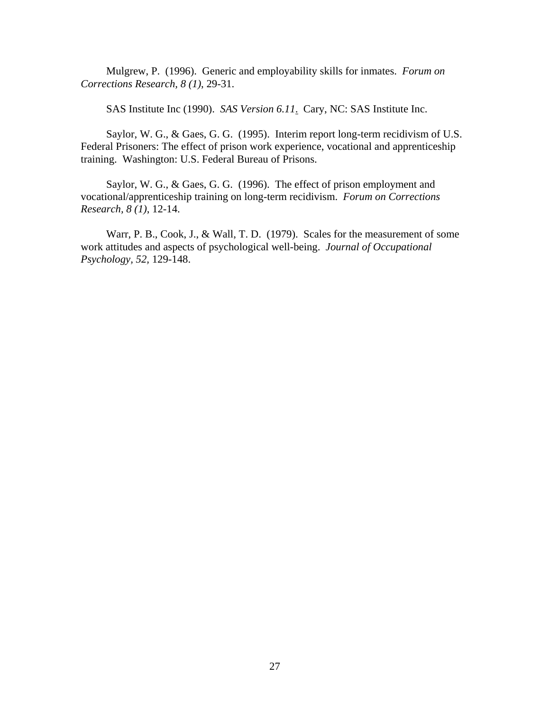Mulgrew, P. (1996). Generic and employability skills for inmates. *Forum on Corrections Research, 8 (1)*, 29-31.

SAS Institute Inc (1990). *SAS Version 6.11*. Cary, NC: SAS Institute Inc.

Saylor, W. G., & Gaes, G. G. (1995). Interim report long-term recidivism of U.S. Federal Prisoners: The effect of prison work experience, vocational and apprenticeship training. Washington: U.S. Federal Bureau of Prisons.

Saylor, W. G., & Gaes, G. G. (1996). The effect of prison employment and vocational/apprenticeship training on long-term recidivism. *Forum on Corrections Research, 8 (1)*, 12-14.

Warr, P. B., Cook, J., & Wall, T. D. (1979). Scales for the measurement of some work attitudes and aspects of psychological well-being. *Journal of Occupational Psychology, 52,* 129-148.